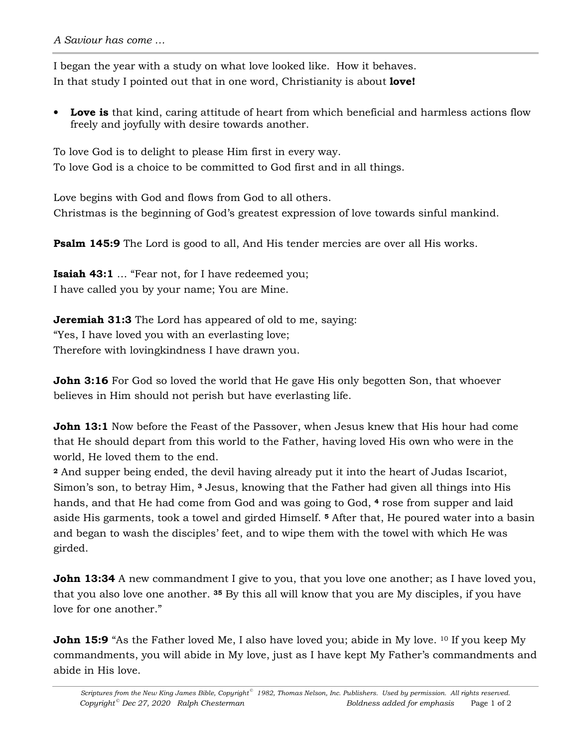I began the year with a study on what love looked like. How it behaves. In that study I pointed out that in one word, Christianity is about **love!**

• **Love is** that kind, caring attitude of heart from which beneficial and harmless actions flow freely and joyfully with desire towards another.

To love God is to delight to please Him first in every way. To love God is a choice to be committed to God first and in all things.

Love begins with God and flows from God to all others. Christmas is the beginning of God's greatest expression of love towards sinful mankind.

**Psalm 145:9** The Lord is good to all, And His tender mercies are over all His works.

**Isaiah 43:1** … "Fear not, for I have redeemed you; I have called you by your name; You are Mine.

**Jeremiah 31:3** The Lord has appeared of old to me, saying: "Yes, I have loved you with an everlasting love; Therefore with lovingkindness I have drawn you.

**John 3:16** For God so loved the world that He gave His only begotten Son, that whoever believes in Him should not perish but have everlasting life.

**John 13:1** Now before the Feast of the Passover, when Jesus knew that His hour had come that He should depart from this world to the Father, having loved His own who were in the world, He loved them to the end.

**<sup>2</sup>** And supper being ended, the devil having already put it into the heart of Judas Iscariot, Simon's son, to betray Him, **3** Jesus, knowing that the Father had given all things into His hands, and that He had come from God and was going to God, **4** rose from supper and laid aside His garments, took a towel and girded Himself. **<sup>5</sup>** After that, He poured water into a basin and began to wash the disciples' feet, and to wipe them with the towel with which He was girded.

**John 13:34** A new commandment I give to you, that you love one another; as I have loved you, that you also love one another. **35** By this all will know that you are My disciples, if you have love for one another."

**John 15:9** "As the Father loved Me, I also have loved you; abide in My love. <sup>10</sup> If you keep My commandments, you will abide in My love, just as I have kept My Father's commandments and abide in His love.